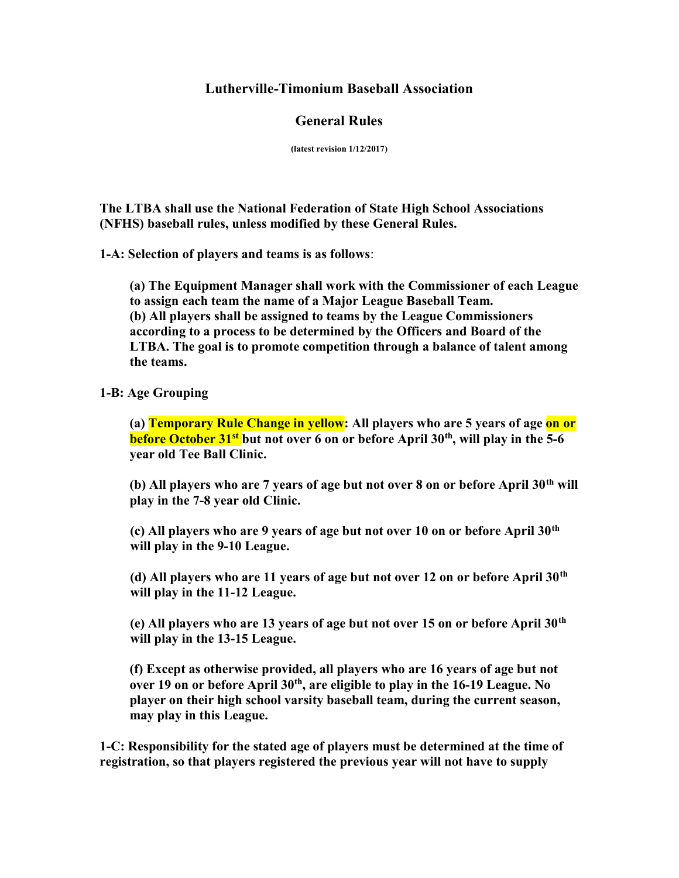### Lutherville-Timonium Baseball Association

# General Rules

(latest revision 1/12/2017)

The LTBA shall use the National Federation of State High School Associations (NFHS) baseball rules, unless modified by these General Rules.

1-A: Selection of players and teams is as follows:

(a) The Equipment Manager shall work with the Commissioner of each League to assign each team the name of a Major League Baseball Team. (b) All players shall be assigned to teams by the League Commissioners according to a process to be determined by the Officers and Board of the LTBA. The goal is to promote competition through a balance of talent among the teams.

### 1-B: Age Grouping

(a) Temporary Rule Change in yellow: All players who are 5 years of age on or before October  $31<sup>st</sup>$  but not over 6 on or before April  $30<sup>th</sup>$ , will play in the 5-6 year old Tee Ball Clinic.

(b) All players who are 7 years of age but not over 8 on or before April 30<sup>th</sup> will play in the 7-8 year old Clinic.

(c) All players who are 9 years of age but not over 10 on or before April  $30<sup>th</sup>$ will play in the 9-10 League.

(d) All players who are 11 years of age but not over 12 on or before April  $30<sup>th</sup>$ will play in the 11-12 League.

(e) All players who are 13 years of age but not over 15 on or before April  $30<sup>th</sup>$ will play in the 13-15 League.

(f) Except as otherwise provided, all players who are 16 years of age but not over 19 on or before April 30<sup>th</sup>, are eligible to play in the 16-19 League. No player on their high school varsity baseball team, during the current season, may play in this League.

1-C: Responsibility for the stated age of players must be determined at the time of registration, so that players registered the previous year will not have to supply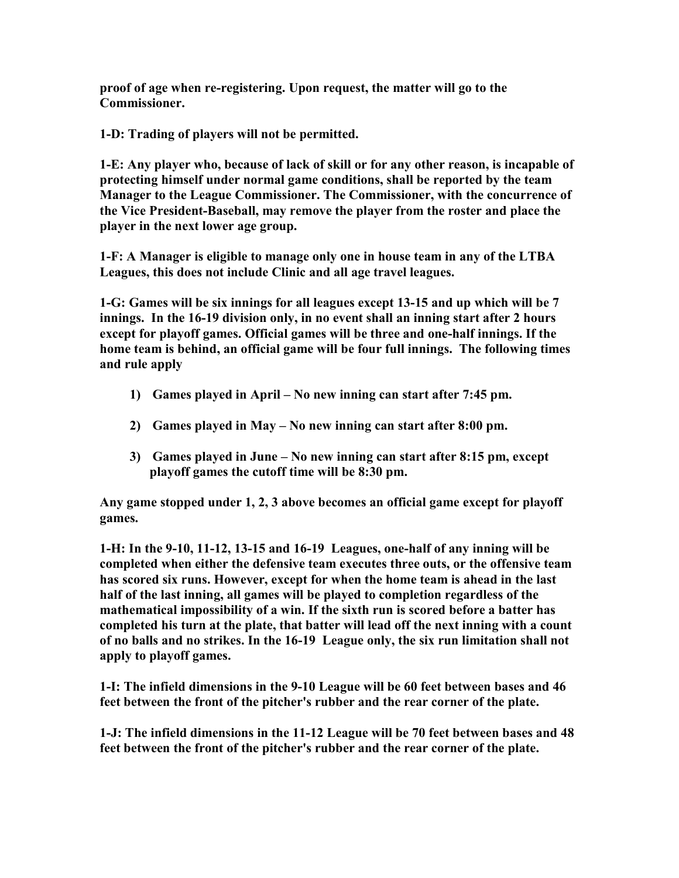proof of age when re-registering. Upon request, the matter will go to the Commissioner.

1-D: Trading of players will not be permitted.

1-E: Any player who, because of lack of skill or for any other reason, is incapable of protecting himself under normal game conditions, shall be reported by the team Manager to the League Commissioner. The Commissioner, with the concurrence of the Vice President-Baseball, may remove the player from the roster and place the player in the next lower age group.

1-F: A Manager is eligible to manage only one in house team in any of the LTBA Leagues, this does not include Clinic and all age travel leagues.

1-G: Games will be six innings for all leagues except 13-15 and up which will be 7 innings. In the 16-19 division only, in no event shall an inning start after 2 hours except for playoff games. Official games will be three and one-half innings. If the home team is behind, an official game will be four full innings. The following times and rule apply

- 1) Games played in April No new inning can start after 7:45 pm.
- 2) Games played in May No new inning can start after 8:00 pm.
- 3) Games played in June No new inning can start after 8:15 pm, except playoff games the cutoff time will be 8:30 pm.

Any game stopped under 1, 2, 3 above becomes an official game except for playoff games.

1-H: In the 9-10, 11-12, 13-15 and 16-19 Leagues, one-half of any inning will be completed when either the defensive team executes three outs, or the offensive team has scored six runs. However, except for when the home team is ahead in the last half of the last inning, all games will be played to completion regardless of the mathematical impossibility of a win. If the sixth run is scored before a batter has completed his turn at the plate, that batter will lead off the next inning with a count of no balls and no strikes. In the 16-19 League only, the six run limitation shall not apply to playoff games.

1-I: The infield dimensions in the 9-10 League will be 60 feet between bases and 46 feet between the front of the pitcher's rubber and the rear corner of the plate.

1-J: The infield dimensions in the 11-12 League will be 70 feet between bases and 48 feet between the front of the pitcher's rubber and the rear corner of the plate.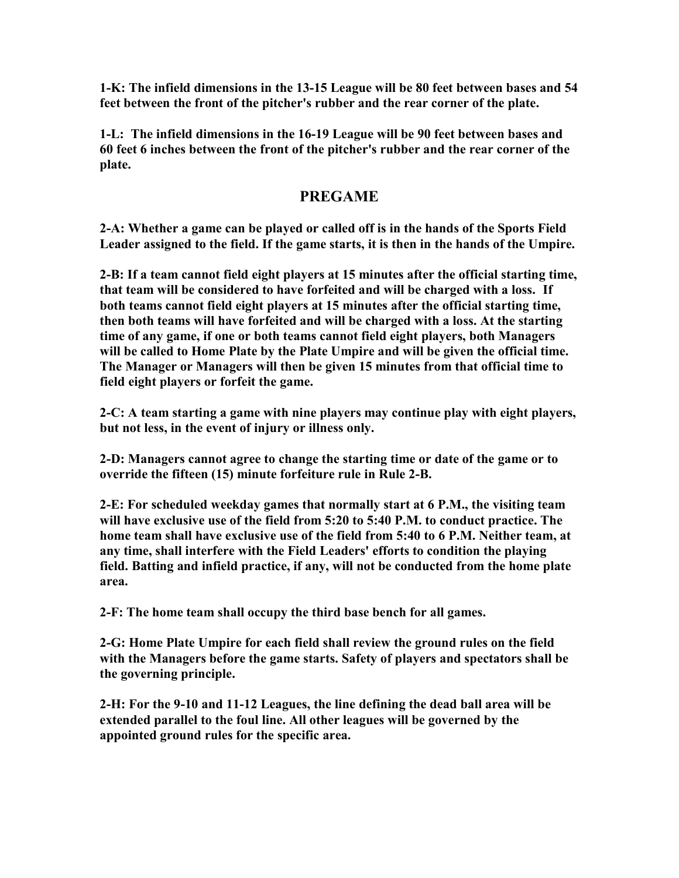1-K: The infield dimensions in the 13-15 League will be 80 feet between bases and 54 feet between the front of the pitcher's rubber and the rear corner of the plate.

1-L: The infield dimensions in the 16-19 League will be 90 feet between bases and 60 feet 6 inches between the front of the pitcher's rubber and the rear corner of the plate.

### PREGAME

2-A: Whether a game can be played or called off is in the hands of the Sports Field Leader assigned to the field. If the game starts, it is then in the hands of the Umpire.

2-B: If a team cannot field eight players at 15 minutes after the official starting time, that team will be considered to have forfeited and will be charged with a loss. If both teams cannot field eight players at 15 minutes after the official starting time, then both teams will have forfeited and will be charged with a loss. At the starting time of any game, if one or both teams cannot field eight players, both Managers will be called to Home Plate by the Plate Umpire and will be given the official time. The Manager or Managers will then be given 15 minutes from that official time to field eight players or forfeit the game.

2-C: A team starting a game with nine players may continue play with eight players, but not less, in the event of injury or illness only.

2-D: Managers cannot agree to change the starting time or date of the game or to override the fifteen (15) minute forfeiture rule in Rule 2-B.

2-E: For scheduled weekday games that normally start at 6 P.M., the visiting team will have exclusive use of the field from 5:20 to 5:40 P.M. to conduct practice. The home team shall have exclusive use of the field from 5:40 to 6 P.M. Neither team, at any time, shall interfere with the Field Leaders' efforts to condition the playing field. Batting and infield practice, if any, will not be conducted from the home plate area.

2-F: The home team shall occupy the third base bench for all games.

2-G: Home Plate Umpire for each field shall review the ground rules on the field with the Managers before the game starts. Safety of players and spectators shall be the governing principle.

2-H: For the 9-10 and 11-12 Leagues, the line defining the dead ball area will be extended parallel to the foul line. All other leagues will be governed by the appointed ground rules for the specific area.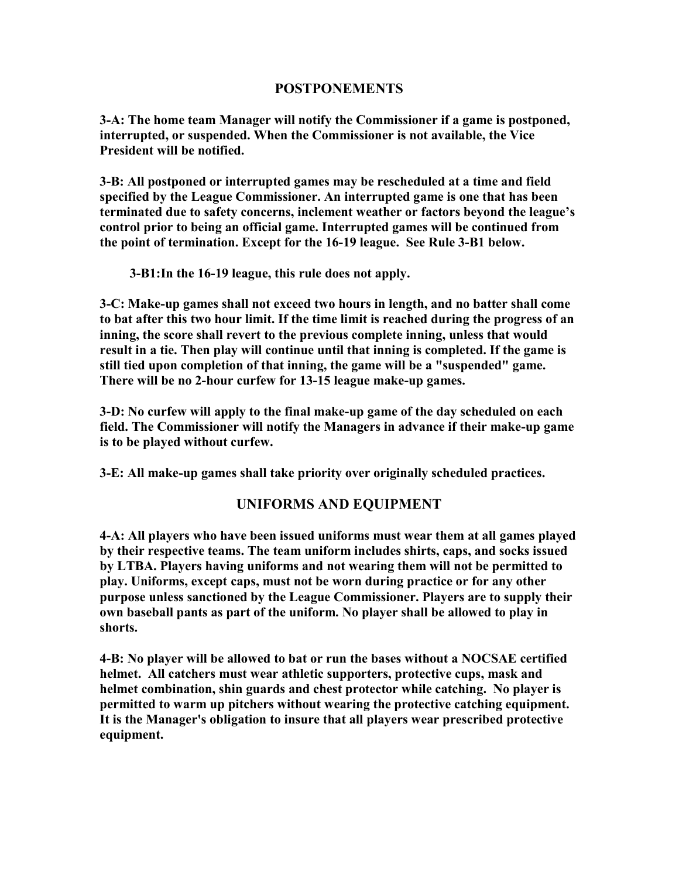### POSTPONEMENTS

3-A: The home team Manager will notify the Commissioner if a game is postponed, interrupted, or suspended. When the Commissioner is not available, the Vice President will be notified.

3-B: All postponed or interrupted games may be rescheduled at a time and field specified by the League Commissioner. An interrupted game is one that has been terminated due to safety concerns, inclement weather or factors beyond the league's control prior to being an official game. Interrupted games will be continued from the point of termination. Except for the 16-19 league. See Rule 3-B1 below.

3-B1:In the 16-19 league, this rule does not apply.

3-C: Make-up games shall not exceed two hours in length, and no batter shall come to bat after this two hour limit. If the time limit is reached during the progress of an inning, the score shall revert to the previous complete inning, unless that would result in a tie. Then play will continue until that inning is completed. If the game is still tied upon completion of that inning, the game will be a "suspended" game. There will be no 2-hour curfew for 13-15 league make-up games.

3-D: No curfew will apply to the final make-up game of the day scheduled on each field. The Commissioner will notify the Managers in advance if their make-up game is to be played without curfew.

3-E: All make-up games shall take priority over originally scheduled practices.

### UNIFORMS AND EQUIPMENT

4-A: All players who have been issued uniforms must wear them at all games played by their respective teams. The team uniform includes shirts, caps, and socks issued by LTBA. Players having uniforms and not wearing them will not be permitted to play. Uniforms, except caps, must not be worn during practice or for any other purpose unless sanctioned by the League Commissioner. Players are to supply their own baseball pants as part of the uniform. No player shall be allowed to play in shorts.

4-B: No player will be allowed to bat or run the bases without a NOCSAE certified helmet. All catchers must wear athletic supporters, protective cups, mask and helmet combination, shin guards and chest protector while catching. No player is permitted to warm up pitchers without wearing the protective catching equipment. It is the Manager's obligation to insure that all players wear prescribed protective equipment.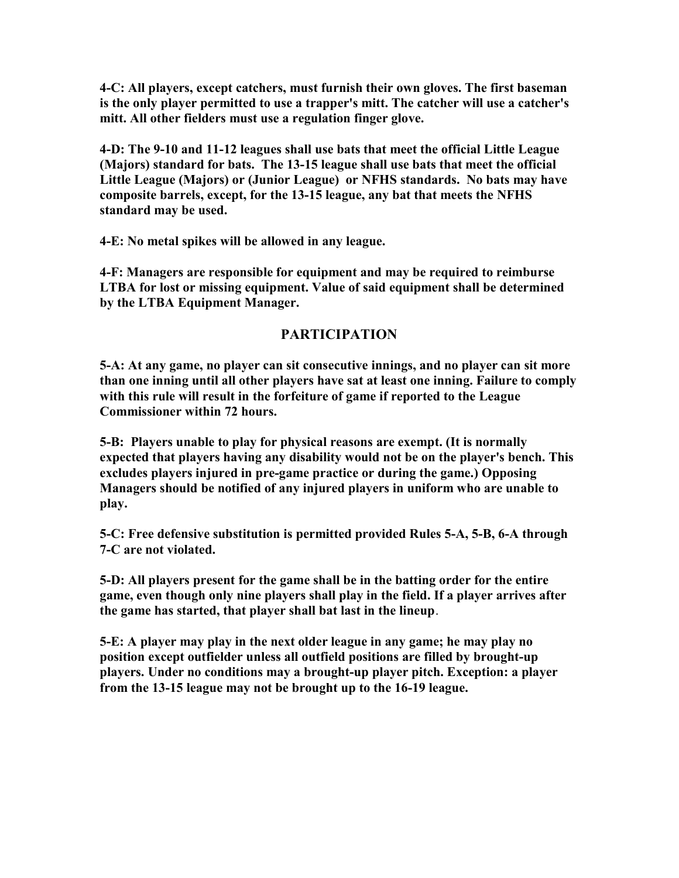4-C: All players, except catchers, must furnish their own gloves. The first baseman is the only player permitted to use a trapper's mitt. The catcher will use a catcher's mitt. All other fielders must use a regulation finger glove.

4-D: The 9-10 and 11-12 leagues shall use bats that meet the official Little League (Majors) standard for bats. The 13-15 league shall use bats that meet the official Little League (Majors) or (Junior League) or NFHS standards. No bats may have composite barrels, except, for the 13-15 league, any bat that meets the NFHS standard may be used.

4-E: No metal spikes will be allowed in any league.

4-F: Managers are responsible for equipment and may be required to reimburse LTBA for lost or missing equipment. Value of said equipment shall be determined by the LTBA Equipment Manager.

### PARTICIPATION

5-A: At any game, no player can sit consecutive innings, and no player can sit more than one inning until all other players have sat at least one inning. Failure to comply with this rule will result in the forfeiture of game if reported to the League Commissioner within 72 hours.

5-B: Players unable to play for physical reasons are exempt. (It is normally expected that players having any disability would not be on the player's bench. This excludes players injured in pre-game practice or during the game.) Opposing Managers should be notified of any injured players in uniform who are unable to play.

5-C: Free defensive substitution is permitted provided Rules 5-A, 5-B, 6-A through 7-C are not violated.

5-D: All players present for the game shall be in the batting order for the entire game, even though only nine players shall play in the field. If a player arrives after the game has started, that player shall bat last in the lineup.

5-E: A player may play in the next older league in any game; he may play no position except outfielder unless all outfield positions are filled by brought-up players. Under no conditions may a brought-up player pitch. Exception: a player from the 13-15 league may not be brought up to the 16-19 league.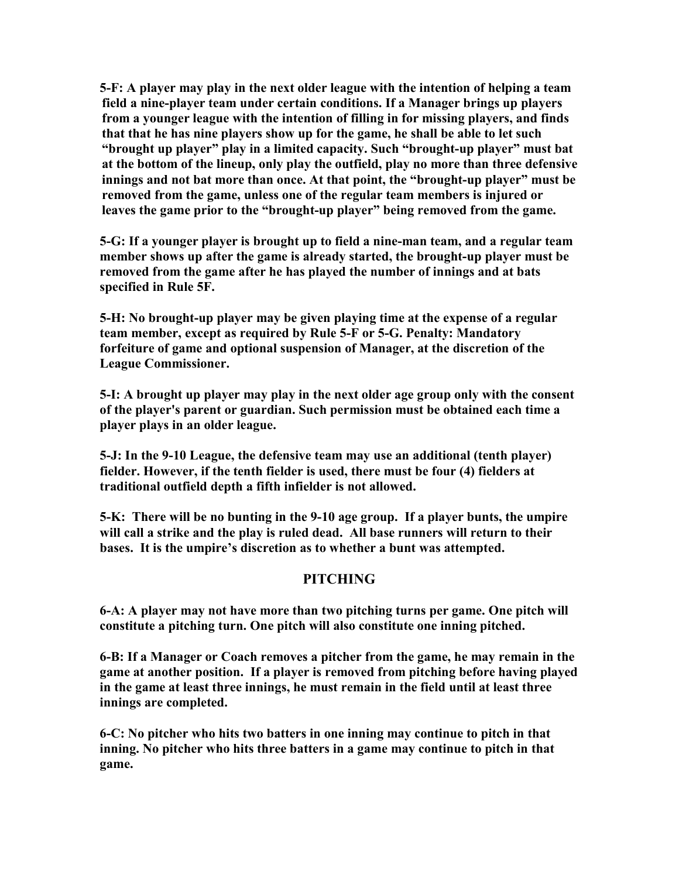5-F: A player may play in the next older league with the intention of helping a team field a nine-player team under certain conditions. If a Manager brings up players from a younger league with the intention of filling in for missing players, and finds that that he has nine players show up for the game, he shall be able to let such "brought up player" play in a limited capacity. Such "brought-up player" must bat at the bottom of the lineup, only play the outfield, play no more than three defensive innings and not bat more than once. At that point, the "brought-up player" must be removed from the game, unless one of the regular team members is injured or leaves the game prior to the "brought-up player" being removed from the game.

5-G: If a younger player is brought up to field a nine-man team, and a regular team member shows up after the game is already started, the brought-up player must be removed from the game after he has played the number of innings and at bats specified in Rule 5F.

5-H: No brought-up player may be given playing time at the expense of a regular team member, except as required by Rule 5-F or 5-G. Penalty: Mandatory forfeiture of game and optional suspension of Manager, at the discretion of the League Commissioner.

5-I: A brought up player may play in the next older age group only with the consent of the player's parent or guardian. Such permission must be obtained each time a player plays in an older league.

5-J: In the 9-10 League, the defensive team may use an additional (tenth player) fielder. However, if the tenth fielder is used, there must be four (4) fielders at traditional outfield depth a fifth infielder is not allowed.

5-K: There will be no bunting in the 9-10 age group. If a player bunts, the umpire will call a strike and the play is ruled dead. All base runners will return to their bases. It is the umpire's discretion as to whether a bunt was attempted.

# **PITCHING**

6-A: A player may not have more than two pitching turns per game. One pitch will constitute a pitching turn. One pitch will also constitute one inning pitched.

6-B: If a Manager or Coach removes a pitcher from the game, he may remain in the game at another position. If a player is removed from pitching before having played in the game at least three innings, he must remain in the field until at least three innings are completed.

6-C: No pitcher who hits two batters in one inning may continue to pitch in that inning. No pitcher who hits three batters in a game may continue to pitch in that game.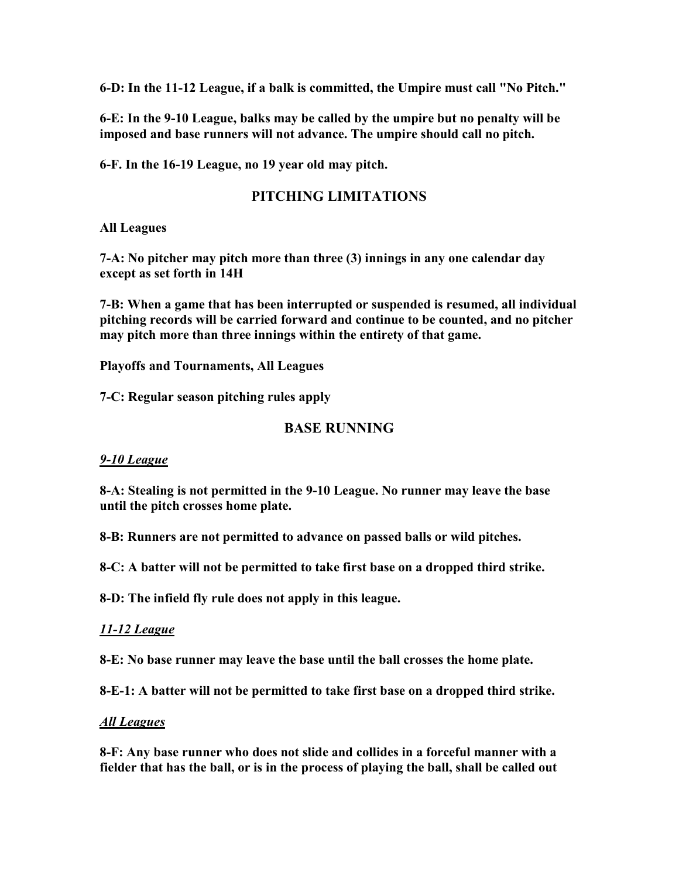6-D: In the 11-12 League, if a balk is committed, the Umpire must call "No Pitch."

6-E: In the 9-10 League, balks may be called by the umpire but no penalty will be imposed and base runners will not advance. The umpire should call no pitch.

6-F. In the 16-19 League, no 19 year old may pitch.

# PITCHING LIMITATIONS

All Leagues

7-A: No pitcher may pitch more than three (3) innings in any one calendar day except as set forth in 14H

7-B: When a game that has been interrupted or suspended is resumed, all individual pitching records will be carried forward and continue to be counted, and no pitcher may pitch more than three innings within the entirety of that game.

Playoffs and Tournaments, All Leagues

7-C: Regular season pitching rules apply

### BASE RUNNING

### 9-10 League

8-A: Stealing is not permitted in the 9-10 League. No runner may leave the base until the pitch crosses home plate.

8-B: Runners are not permitted to advance on passed balls or wild pitches.

8-C: A batter will not be permitted to take first base on a dropped third strike.

8-D: The infield fly rule does not apply in this league.

### 11-12 League

8-E: No base runner may leave the base until the ball crosses the home plate.

8-E-1: A batter will not be permitted to take first base on a dropped third strike.

#### All Leagues

8-F: Any base runner who does not slide and collides in a forceful manner with a fielder that has the ball, or is in the process of playing the ball, shall be called out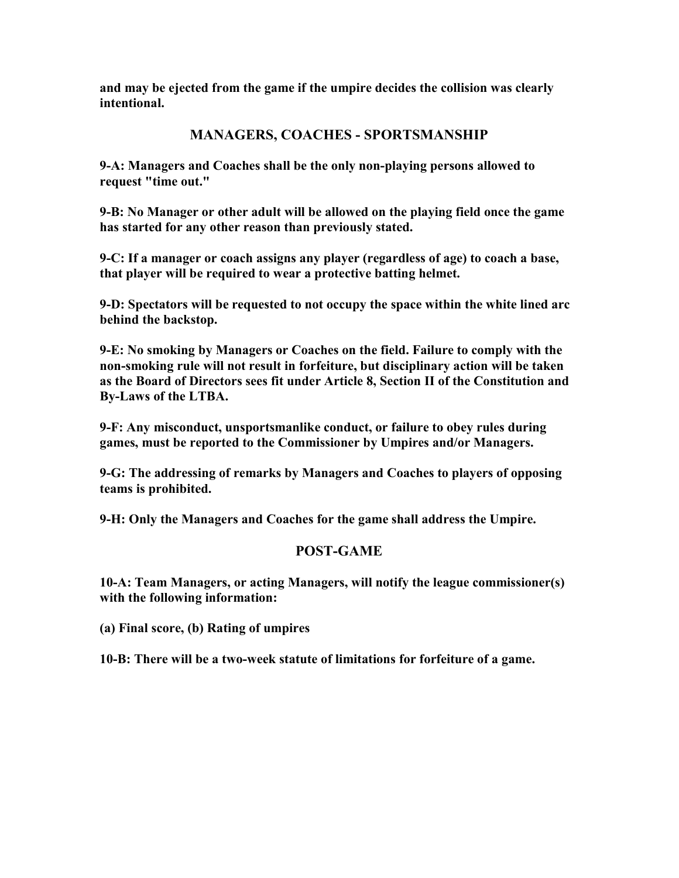and may be ejected from the game if the umpire decides the collision was clearly intentional.

# MANAGERS, COACHES - SPORTSMANSHIP

9-A: Managers and Coaches shall be the only non-playing persons allowed to request "time out."

9-B: No Manager or other adult will be allowed on the playing field once the game has started for any other reason than previously stated.

9-C: If a manager or coach assigns any player (regardless of age) to coach a base, that player will be required to wear a protective batting helmet.

9-D: Spectators will be requested to not occupy the space within the white lined arc behind the backstop.

9-E: No smoking by Managers or Coaches on the field. Failure to comply with the non-smoking rule will not result in forfeiture, but disciplinary action will be taken as the Board of Directors sees fit under Article 8, Section II of the Constitution and By-Laws of the LTBA.

9-F: Any misconduct, unsportsmanlike conduct, or failure to obey rules during games, must be reported to the Commissioner by Umpires and/or Managers.

9-G: The addressing of remarks by Managers and Coaches to players of opposing teams is prohibited.

9-H: Only the Managers and Coaches for the game shall address the Umpire.

### POST-GAME

10-A: Team Managers, or acting Managers, will notify the league commissioner(s) with the following information:

(a) Final score, (b) Rating of umpires

10-B: There will be a two-week statute of limitations for forfeiture of a game.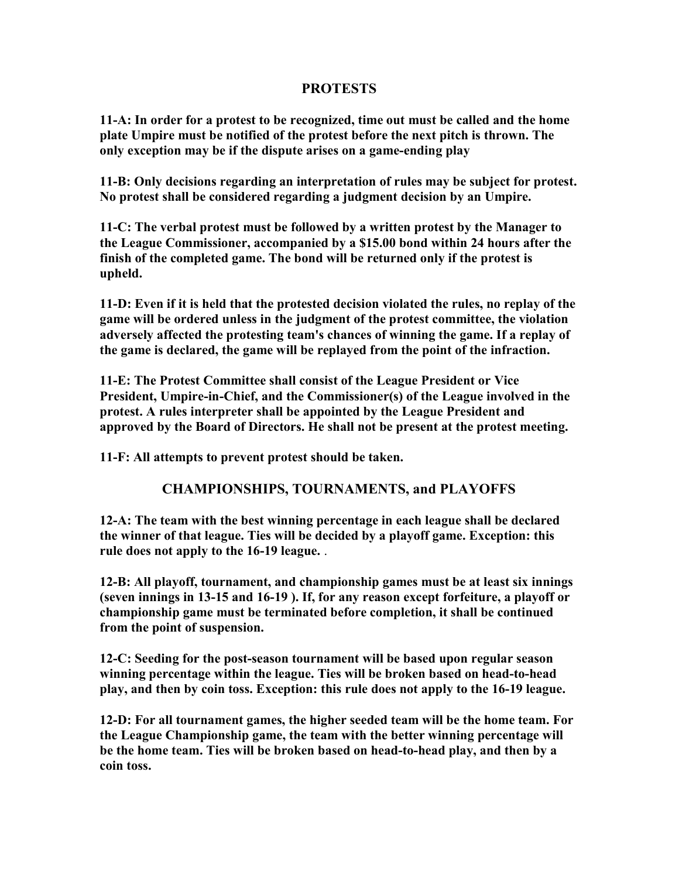### **PROTESTS**

11-A: In order for a protest to be recognized, time out must be called and the home plate Umpire must be notified of the protest before the next pitch is thrown. The only exception may be if the dispute arises on a game-ending play

11-B: Only decisions regarding an interpretation of rules may be subject for protest. No protest shall be considered regarding a judgment decision by an Umpire.

11-C: The verbal protest must be followed by a written protest by the Manager to the League Commissioner, accompanied by a \$15.00 bond within 24 hours after the finish of the completed game. The bond will be returned only if the protest is upheld.

11-D: Even if it is held that the protested decision violated the rules, no replay of the game will be ordered unless in the judgment of the protest committee, the violation adversely affected the protesting team's chances of winning the game. If a replay of the game is declared, the game will be replayed from the point of the infraction.

11-E: The Protest Committee shall consist of the League President or Vice President, Umpire-in-Chief, and the Commissioner(s) of the League involved in the protest. A rules interpreter shall be appointed by the League President and approved by the Board of Directors. He shall not be present at the protest meeting.

11-F: All attempts to prevent protest should be taken.

### CHAMPIONSHIPS, TOURNAMENTS, and PLAYOFFS

12-A: The team with the best winning percentage in each league shall be declared the winner of that league. Ties will be decided by a playoff game. Exception: this rule does not apply to the 16-19 league. .

12-B: All playoff, tournament, and championship games must be at least six innings (seven innings in 13-15 and 16-19 ). If, for any reason except forfeiture, a playoff or championship game must be terminated before completion, it shall be continued from the point of suspension.

12-C: Seeding for the post-season tournament will be based upon regular season winning percentage within the league. Ties will be broken based on head-to-head play, and then by coin toss. Exception: this rule does not apply to the 16-19 league.

12-D: For all tournament games, the higher seeded team will be the home team. For the League Championship game, the team with the better winning percentage will be the home team. Ties will be broken based on head-to-head play, and then by a coin toss.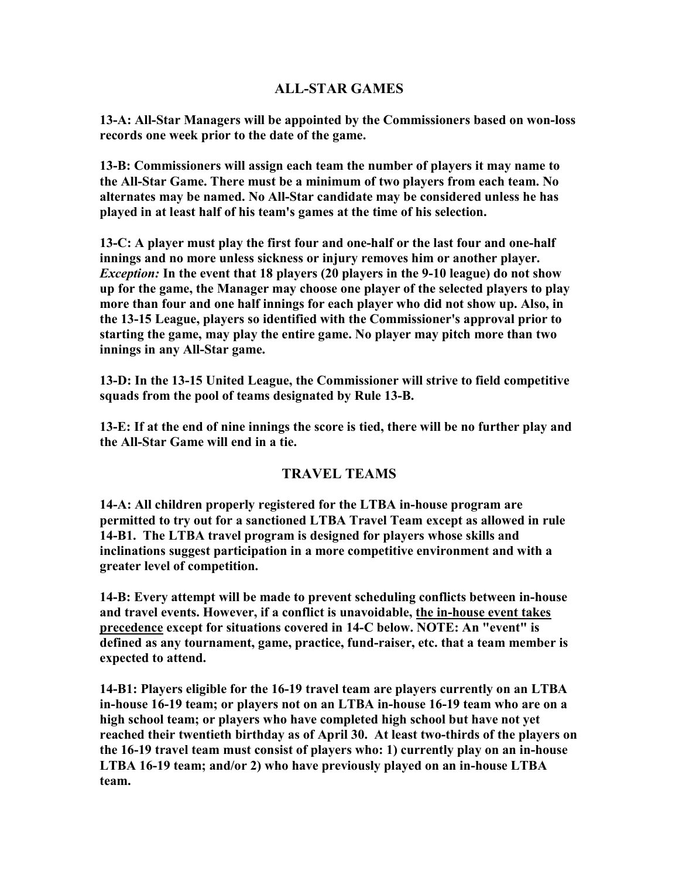### ALL-STAR GAMES

13-A: All-Star Managers will be appointed by the Commissioners based on won-loss records one week prior to the date of the game.

13-B: Commissioners will assign each team the number of players it may name to the All-Star Game. There must be a minimum of two players from each team. No alternates may be named. No All-Star candidate may be considered unless he has played in at least half of his team's games at the time of his selection.

13-C: A player must play the first four and one-half or the last four and one-half innings and no more unless sickness or injury removes him or another player. Exception: In the event that 18 players (20 players in the 9-10 league) do not show up for the game, the Manager may choose one player of the selected players to play more than four and one half innings for each player who did not show up. Also, in the 13-15 League, players so identified with the Commissioner's approval prior to starting the game, may play the entire game. No player may pitch more than two innings in any All-Star game.

13-D: In the 13-15 United League, the Commissioner will strive to field competitive squads from the pool of teams designated by Rule 13-B.

13-E: If at the end of nine innings the score is tied, there will be no further play and the All-Star Game will end in a tie.

### TRAVEL TEAMS

14-A: All children properly registered for the LTBA in-house program are permitted to try out for a sanctioned LTBA Travel Team except as allowed in rule 14-B1. The LTBA travel program is designed for players whose skills and inclinations suggest participation in a more competitive environment and with a greater level of competition.

14-B: Every attempt will be made to prevent scheduling conflicts between in-house and travel events. However, if a conflict is unavoidable, the in-house event takes precedence except for situations covered in 14-C below. NOTE: An "event" is defined as any tournament, game, practice, fund-raiser, etc. that a team member is expected to attend.

14-B1: Players eligible for the 16-19 travel team are players currently on an LTBA in-house 16-19 team; or players not on an LTBA in-house 16-19 team who are on a high school team; or players who have completed high school but have not yet reached their twentieth birthday as of April 30. At least two-thirds of the players on the 16-19 travel team must consist of players who: 1) currently play on an in-house LTBA 16-19 team; and/or 2) who have previously played on an in-house LTBA team.